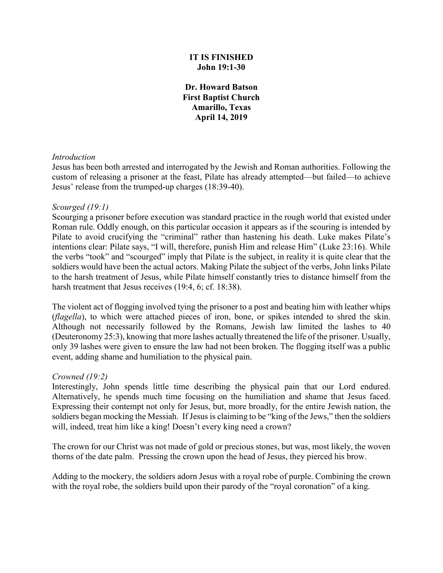### **IT IS FINISHED John 19:1-30**

**Dr. Howard Batson First Baptist Church Amarillo, Texas April 14, 2019**

#### *Introduction*

Jesus has been both arrested and interrogated by the Jewish and Roman authorities. Following the custom of releasing a prisoner at the feast, Pilate has already attempted—but failed—to achieve Jesus' release from the trumped-up charges (18:39-40).

#### *Scourged (19:1)*

Scourging a prisoner before execution was standard practice in the rough world that existed under Roman rule. Oddly enough, on this particular occasion it appears as if the scouring is intended by Pilate to avoid crucifying the "criminal" rather than hastening his death. Luke makes Pilate's intentions clear: Pilate says, "I will, therefore, punish Him and release Him" (Luke 23:16). While the verbs "took" and "scourged" imply that Pilate is the subject, in reality it is quite clear that the soldiers would have been the actual actors. Making Pilate the subject of the verbs, John links Pilate to the harsh treatment of Jesus, while Pilate himself constantly tries to distance himself from the harsh treatment that Jesus receives (19:4, 6; cf. 18:38).

The violent act of flogging involved tying the prisoner to a post and beating him with leather whips (*flagella*), to which were attached pieces of iron, bone, or spikes intended to shred the skin. Although not necessarily followed by the Romans, Jewish law limited the lashes to 40 (Deuteronomy 25:3), knowing that more lashes actually threatened the life of the prisoner. Usually, only 39 lashes were given to ensure the law had not been broken. The flogging itself was a public event, adding shame and humiliation to the physical pain.

#### *Crowned (19:2)*

Interestingly, John spends little time describing the physical pain that our Lord endured. Alternatively, he spends much time focusing on the humiliation and shame that Jesus faced. Expressing their contempt not only for Jesus, but, more broadly, for the entire Jewish nation, the soldiers began mocking the Messiah. If Jesus is claiming to be "king of the Jews," then the soldiers will, indeed, treat him like a king! Doesn't every king need a crown?

The crown for our Christ was not made of gold or precious stones, but was, most likely, the woven thorns of the date palm. Pressing the crown upon the head of Jesus, they pierced his brow.

Adding to the mockery, the soldiers adorn Jesus with a royal robe of purple. Combining the crown with the royal robe, the soldiers build upon their parody of the "royal coronation" of a king.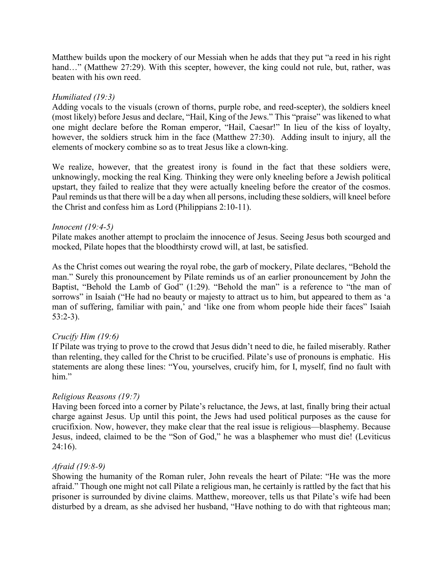Matthew builds upon the mockery of our Messiah when he adds that they put "a reed in his right hand..." (Matthew 27:29). With this scepter, however, the king could not rule, but, rather, was beaten with his own reed.

### *Humiliated (19:3)*

Adding vocals to the visuals (crown of thorns, purple robe, and reed-scepter), the soldiers kneel (most likely) before Jesus and declare, "Hail, King of the Jews." This "praise" was likened to what one might declare before the Roman emperor, "Hail, Caesar!" In lieu of the kiss of loyalty, however, the soldiers struck him in the face (Matthew 27:30). Adding insult to injury, all the elements of mockery combine so as to treat Jesus like a clown-king.

We realize, however, that the greatest irony is found in the fact that these soldiers were, unknowingly, mocking the real King. Thinking they were only kneeling before a Jewish political upstart, they failed to realize that they were actually kneeling before the creator of the cosmos. Paul reminds us that there will be a day when all persons, including these soldiers, will kneel before the Christ and confess him as Lord (Philippians 2:10-11).

#### *Innocent (19:4-5)*

Pilate makes another attempt to proclaim the innocence of Jesus. Seeing Jesus both scourged and mocked, Pilate hopes that the bloodthirsty crowd will, at last, be satisfied.

As the Christ comes out wearing the royal robe, the garb of mockery, Pilate declares, "Behold the man." Surely this pronouncement by Pilate reminds us of an earlier pronouncement by John the Baptist, "Behold the Lamb of God" (1:29). "Behold the man" is a reference to "the man of sorrows" in Isaiah ("He had no beauty or majesty to attract us to him, but appeared to them as 'a man of suffering, familiar with pain,' and 'like one from whom people hide their faces" Isaiah 53:2-3).

# *Crucify Him (19:6)*

If Pilate was trying to prove to the crowd that Jesus didn't need to die, he failed miserably. Rather than relenting, they called for the Christ to be crucified. Pilate's use of pronouns is emphatic. His statements are along these lines: "You, yourselves, crucify him, for I, myself, find no fault with him."

# *Religious Reasons (19:7)*

Having been forced into a corner by Pilate's reluctance, the Jews, at last, finally bring their actual charge against Jesus. Up until this point, the Jews had used political purposes as the cause for crucifixion. Now, however, they make clear that the real issue is religious—blasphemy. Because Jesus, indeed, claimed to be the "Son of God," he was a blasphemer who must die! (Leviticus 24:16).

#### *Afraid (19:8-9)*

Showing the humanity of the Roman ruler, John reveals the heart of Pilate: "He was the more afraid." Though one might not call Pilate a religious man, he certainly is rattled by the fact that his prisoner is surrounded by divine claims. Matthew, moreover, tells us that Pilate's wife had been disturbed by a dream, as she advised her husband, "Have nothing to do with that righteous man;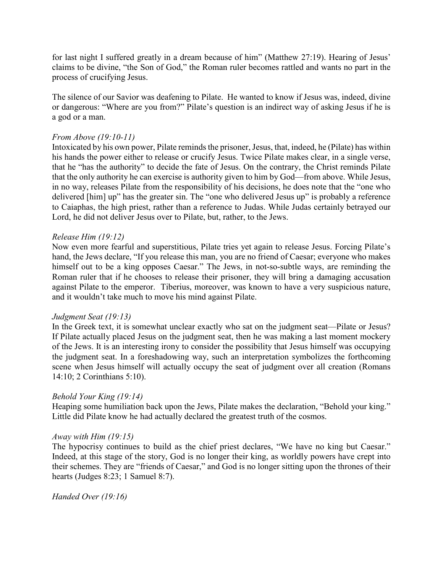for last night I suffered greatly in a dream because of him" (Matthew 27:19). Hearing of Jesus' claims to be divine, "the Son of God," the Roman ruler becomes rattled and wants no part in the process of crucifying Jesus.

The silence of our Savior was deafening to Pilate. He wanted to know if Jesus was, indeed, divine or dangerous: "Where are you from?" Pilate's question is an indirect way of asking Jesus if he is a god or a man.

### *From Above (19:10-11)*

Intoxicated by his own power, Pilate reminds the prisoner, Jesus, that, indeed, he (Pilate) has within his hands the power either to release or crucify Jesus. Twice Pilate makes clear, in a single verse, that he "has the authority" to decide the fate of Jesus. On the contrary, the Christ reminds Pilate that the only authority he can exercise is authority given to him by God—from above. While Jesus, in no way, releases Pilate from the responsibility of his decisions, he does note that the "one who delivered [him] up" has the greater sin. The "one who delivered Jesus up" is probably a reference to Caiaphas, the high priest, rather than a reference to Judas. While Judas certainly betrayed our Lord, he did not deliver Jesus over to Pilate, but, rather, to the Jews.

#### *Release Him (19:12)*

Now even more fearful and superstitious, Pilate tries yet again to release Jesus. Forcing Pilate's hand, the Jews declare, "If you release this man, you are no friend of Caesar; everyone who makes himself out to be a king opposes Caesar." The Jews, in not-so-subtle ways, are reminding the Roman ruler that if he chooses to release their prisoner, they will bring a damaging accusation against Pilate to the emperor. Tiberius, moreover, was known to have a very suspicious nature, and it wouldn't take much to move his mind against Pilate.

#### *Judgment Seat (19:13)*

In the Greek text, it is somewhat unclear exactly who sat on the judgment seat—Pilate or Jesus? If Pilate actually placed Jesus on the judgment seat, then he was making a last moment mockery of the Jews. It is an interesting irony to consider the possibility that Jesus himself was occupying the judgment seat. In a foreshadowing way, such an interpretation symbolizes the forthcoming scene when Jesus himself will actually occupy the seat of judgment over all creation (Romans 14:10; 2 Corinthians 5:10).

#### *Behold Your King (19:14)*

Heaping some humiliation back upon the Jews, Pilate makes the declaration, "Behold your king." Little did Pilate know he had actually declared the greatest truth of the cosmos.

#### *Away with Him (19:15)*

The hypocrisy continues to build as the chief priest declares, "We have no king but Caesar." Indeed, at this stage of the story, God is no longer their king, as worldly powers have crept into their schemes. They are "friends of Caesar," and God is no longer sitting upon the thrones of their hearts (Judges 8:23; 1 Samuel 8:7).

*Handed Over (19:16)*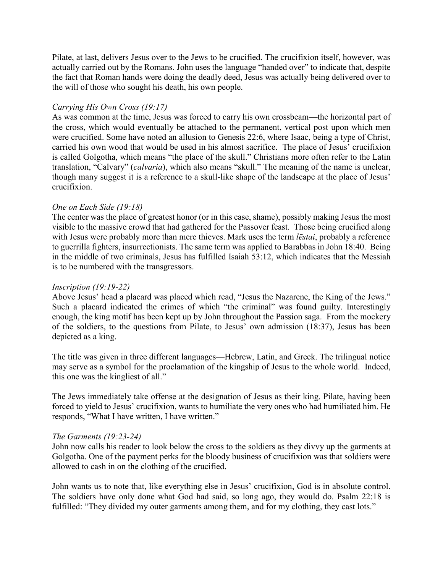Pilate, at last, delivers Jesus over to the Jews to be crucified. The crucifixion itself, however, was actually carried out by the Romans. John uses the language "handed over" to indicate that, despite the fact that Roman hands were doing the deadly deed, Jesus was actually being delivered over to the will of those who sought his death, his own people.

## *Carrying His Own Cross (19:17)*

As was common at the time, Jesus was forced to carry his own crossbeam—the horizontal part of the cross, which would eventually be attached to the permanent, vertical post upon which men were crucified. Some have noted an allusion to Genesis 22:6, where Isaac, being a type of Christ, carried his own wood that would be used in his almost sacrifice. The place of Jesus' crucifixion is called Golgotha, which means "the place of the skull." Christians more often refer to the Latin translation, "Calvary" (*calvaria*), which also means "skull." The meaning of the name is unclear, though many suggest it is a reference to a skull-like shape of the landscape at the place of Jesus' crucifixion.

## *One on Each Side (19:18)*

The center was the place of greatest honor (or in this case, shame), possibly making Jesus the most visible to the massive crowd that had gathered for the Passover feast. Those being crucified along with Jesus were probably more than mere thieves. Mark uses the term *lēstai*, probably a reference to guerrilla fighters, insurrectionists. The same term was applied to Barabbas in John 18:40. Being in the middle of two criminals, Jesus has fulfilled Isaiah 53:12, which indicates that the Messiah is to be numbered with the transgressors.

#### *Inscription (19:19-22)*

Above Jesus' head a placard was placed which read, "Jesus the Nazarene, the King of the Jews." Such a placard indicated the crimes of which "the criminal" was found guilty. Interestingly enough, the king motif has been kept up by John throughout the Passion saga. From the mockery of the soldiers, to the questions from Pilate, to Jesus' own admission (18:37), Jesus has been depicted as a king.

The title was given in three different languages—Hebrew, Latin, and Greek. The trilingual notice may serve as a symbol for the proclamation of the kingship of Jesus to the whole world. Indeed, this one was the kingliest of all."

The Jews immediately take offense at the designation of Jesus as their king. Pilate, having been forced to yield to Jesus' crucifixion, wants to humiliate the very ones who had humiliated him. He responds, "What I have written, I have written."

#### *The Garments (19:23-24)*

John now calls his reader to look below the cross to the soldiers as they divvy up the garments at Golgotha. One of the payment perks for the bloody business of crucifixion was that soldiers were allowed to cash in on the clothing of the crucified.

John wants us to note that, like everything else in Jesus' crucifixion, God is in absolute control. The soldiers have only done what God had said, so long ago, they would do. Psalm 22:18 is fulfilled: "They divided my outer garments among them, and for my clothing, they cast lots."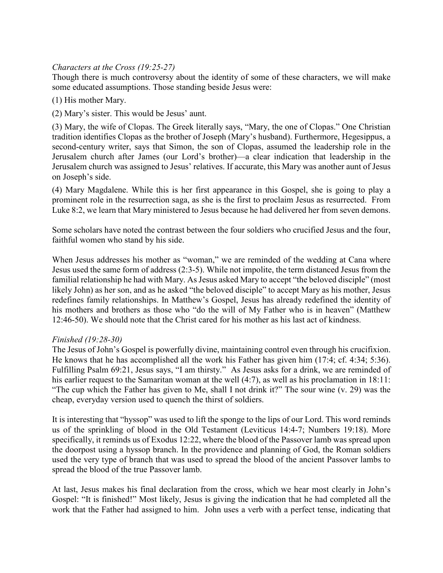# *Characters at the Cross (19:25-27)*

Though there is much controversy about the identity of some of these characters, we will make some educated assumptions. Those standing beside Jesus were:

(1) His mother Mary.

(2) Mary's sister. This would be Jesus' aunt.

(3) Mary, the wife of Clopas. The Greek literally says, "Mary, the one of Clopas." One Christian tradition identifies Clopas as the brother of Joseph (Mary's husband). Furthermore, Hegesippus, a second-century writer, says that Simon, the son of Clopas, assumed the leadership role in the Jerusalem church after James (our Lord's brother)—a clear indication that leadership in the Jerusalem church was assigned to Jesus' relatives. If accurate, this Mary was another aunt of Jesus on Joseph's side.

(4) Mary Magdalene. While this is her first appearance in this Gospel, she is going to play a prominent role in the resurrection saga, as she is the first to proclaim Jesus as resurrected. From Luke 8:2, we learn that Mary ministered to Jesus because he had delivered her from seven demons.

Some scholars have noted the contrast between the four soldiers who crucified Jesus and the four, faithful women who stand by his side.

When Jesus addresses his mother as "woman," we are reminded of the wedding at Cana where Jesus used the same form of address (2:3-5). While not impolite, the term distanced Jesus from the familial relationship he had with Mary. As Jesus asked Mary to accept "the beloved disciple" (most likely John) as her son, and as he asked "the beloved disciple" to accept Mary as his mother, Jesus redefines family relationships. In Matthew's Gospel, Jesus has already redefined the identity of his mothers and brothers as those who "do the will of My Father who is in heaven" (Matthew 12:46-50). We should note that the Christ cared for his mother as his last act of kindness.

#### *Finished (19:28-30)*

The Jesus of John's Gospel is powerfully divine, maintaining control even through his crucifixion. He knows that he has accomplished all the work his Father has given him (17:4; cf. 4:34; 5:36). Fulfilling Psalm 69:21, Jesus says, "I am thirsty." As Jesus asks for a drink, we are reminded of his earlier request to the Samaritan woman at the well (4:7), as well as his proclamation in 18:11: "The cup which the Father has given to Me, shall I not drink it?" The sour wine (v. 29) was the cheap, everyday version used to quench the thirst of soldiers.

It is interesting that "hyssop" was used to lift the sponge to the lips of our Lord. This word reminds us of the sprinkling of blood in the Old Testament (Leviticus 14:4-7; Numbers 19:18). More specifically, it reminds us of Exodus 12:22, where the blood of the Passover lamb was spread upon the doorpost using a hyssop branch. In the providence and planning of God, the Roman soldiers used the very type of branch that was used to spread the blood of the ancient Passover lambs to spread the blood of the true Passover lamb.

At last, Jesus makes his final declaration from the cross, which we hear most clearly in John's Gospel: "It is finished!" Most likely, Jesus is giving the indication that he had completed all the work that the Father had assigned to him. John uses a verb with a perfect tense, indicating that